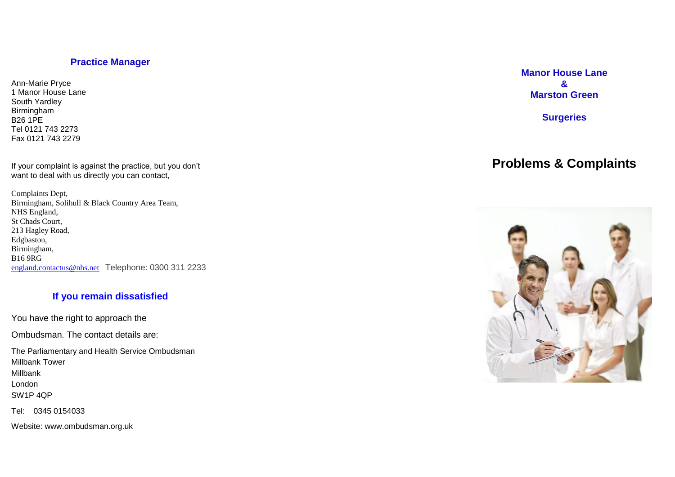# **Practice Manager**

Ann -Marie Pryce 1 Manor House Lane South Yardley Birmingham B26 1PE Tel 0121 743 2273 Fax 0121 743 2279

If your complaint is against the practice, but you don't want to deal with us directly you can contact,

Complaints Dept, Birmingham, Solihull & Black Country Area Team, NHS England, St Chads Court, 213 Hagley Road, Edgbaston, Birmingham, B16 9RG [england.contactus@nhs.net](mailto:england.contactus@nhs.net) Telephone: 0300 311 2233

# **If you remain dissatisfied**

You have the right to approach the

Ombudsman. The contact details are:

The Parliamentary and Health Service Ombudsman Millbank Tower Millbank London SW1P 4QP

Tel: 0345 0154033

Website: www.ombudsman.org.uk

**Manor House Lane & Marston Green**

**Surgeries**

# **Problems & Complaints**